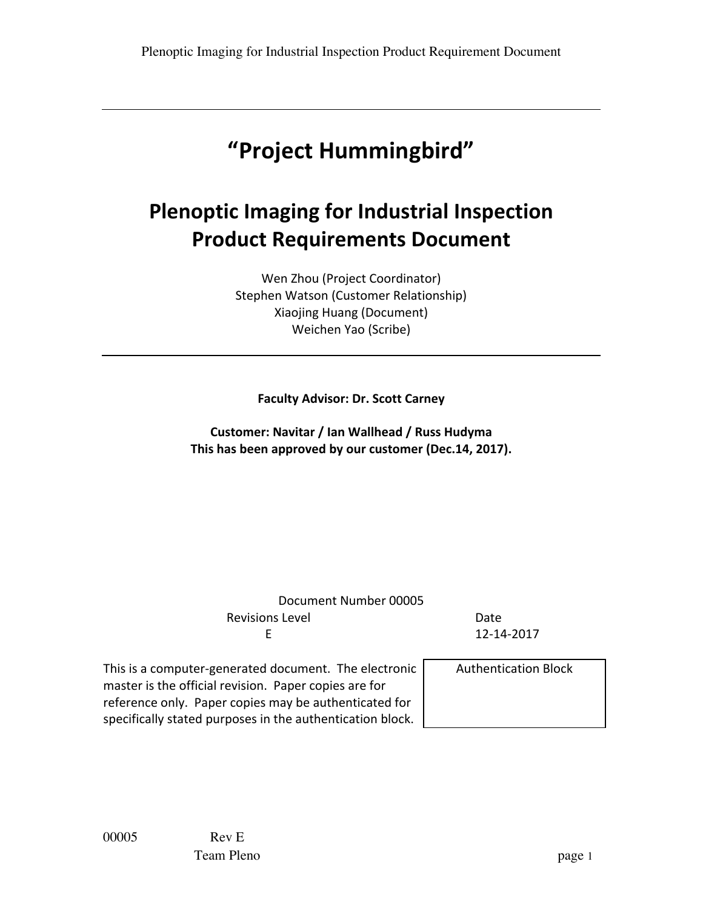# **"Project Hummingbird"**

# **Plenoptic Imaging for Industrial Inspection Product Requirements Document**

Wen Zhou (Project Coordinator) Stephen Watson (Customer Relationship) Xiaojing Huang (Document) Weichen Yao (Scribe)

### **Faculty Advisor: Dr. Scott Carney**

**Customer: Navitar / Ian Wallhead / Russ Hudyma** This has been approved by our customer (Dec.14, 2017).

| Document Number 00005                                                                                                                                                                                                                |                             |
|--------------------------------------------------------------------------------------------------------------------------------------------------------------------------------------------------------------------------------------|-----------------------------|
| <b>Revisions Level</b>                                                                                                                                                                                                               | Date                        |
| F                                                                                                                                                                                                                                    | 12-14-2017                  |
| This is a computer-generated document. The electronic<br>master is the official revision. Paper copies are for<br>reference only. Paper copies may be authenticated for<br>specifically stated purposes in the authentication block. | <b>Authentication Block</b> |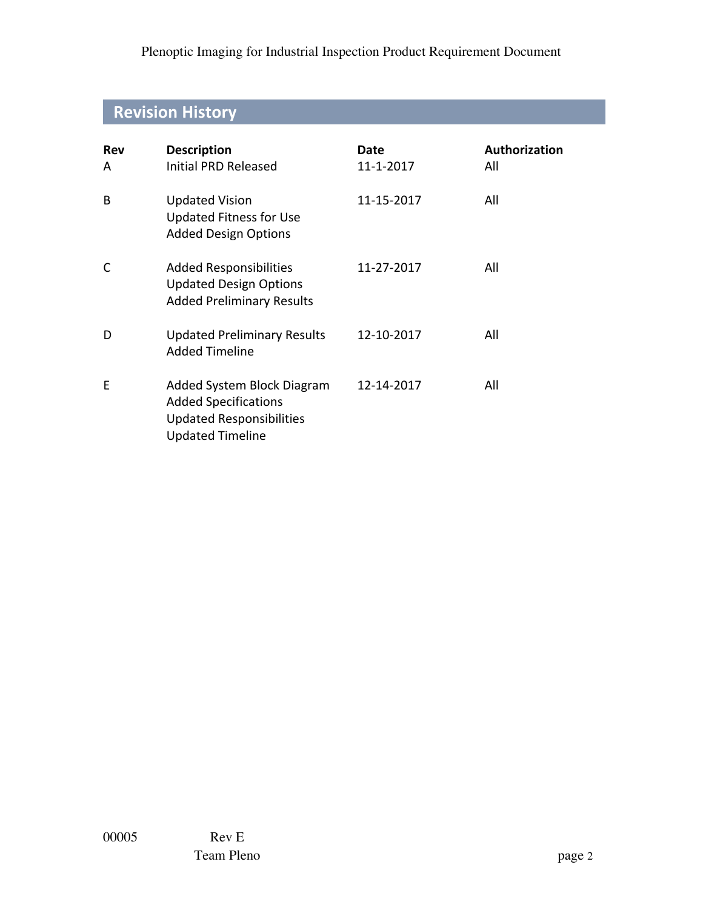# **Revision History**

| <b>Rev</b><br>A | <b>Description</b><br>Initial PRD Released                                                                              | Date<br>11-1-2017 | Authorization<br>All |
|-----------------|-------------------------------------------------------------------------------------------------------------------------|-------------------|----------------------|
| B               | <b>Updated Vision</b><br><b>Updated Fitness for Use</b><br><b>Added Design Options</b>                                  | 11-15-2017        | All                  |
| C               | <b>Added Responsibilities</b><br><b>Updated Design Options</b><br><b>Added Preliminary Results</b>                      | 11-27-2017        | All                  |
| D               | <b>Updated Preliminary Results</b><br><b>Added Timeline</b>                                                             | 12-10-2017        | All                  |
| E               | Added System Block Diagram<br><b>Added Specifications</b><br><b>Updated Responsibilities</b><br><b>Updated Timeline</b> | 12-14-2017        | All                  |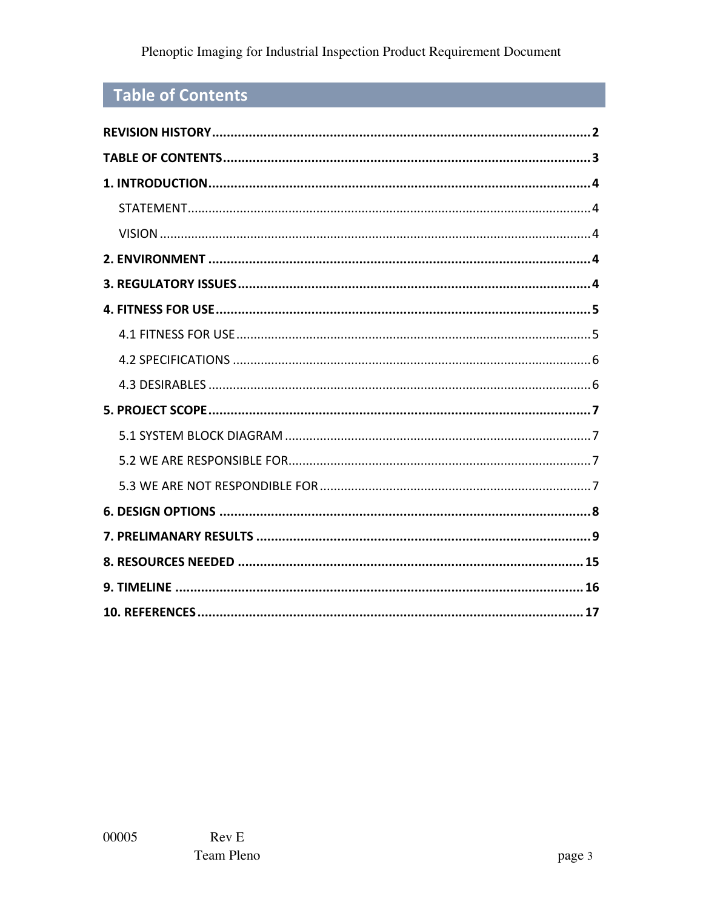# Table of Contents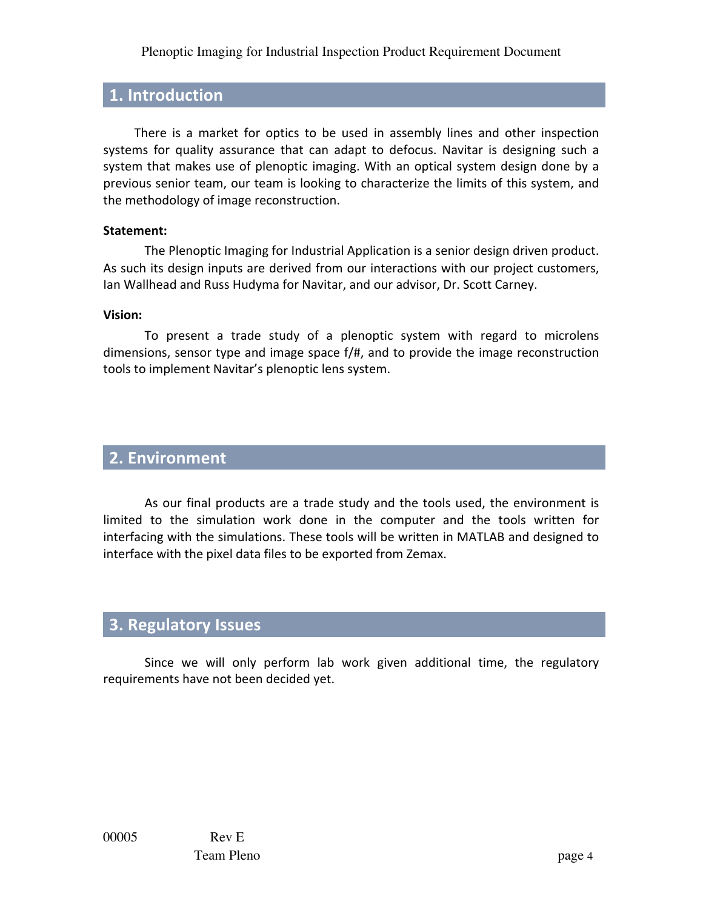## **1. Introduction**

There is a market for optics to be used in assembly lines and other inspection systems for quality assurance that can adapt to defocus. Navitar is designing such a system that makes use of plenoptic imaging. With an optical system design done by a previous senior team, our team is looking to characterize the limits of this system, and the methodology of image reconstruction.

#### **Statement:**

The Plenoptic Imaging for Industrial Application is a senior design driven product. As such its design inputs are derived from our interactions with our project customers, Ian Wallhead and Russ Hudyma for Navitar, and our advisor, Dr. Scott Carney.

### **Vision:**

To present a trade study of a plenoptic system with regard to microlens dimensions, sensor type and image space  $f/\#$ , and to provide the image reconstruction tools to implement Navitar's plenoptic lens system.

## **2. Environment**

As our final products are a trade study and the tools used, the environment is limited to the simulation work done in the computer and the tools written for interfacing with the simulations. These tools will be written in MATLAB and designed to interface with the pixel data files to be exported from Zemax.

# **3. Regulatory Issues**

Since we will only perform lab work given additional time, the regulatory requirements have not been decided yet.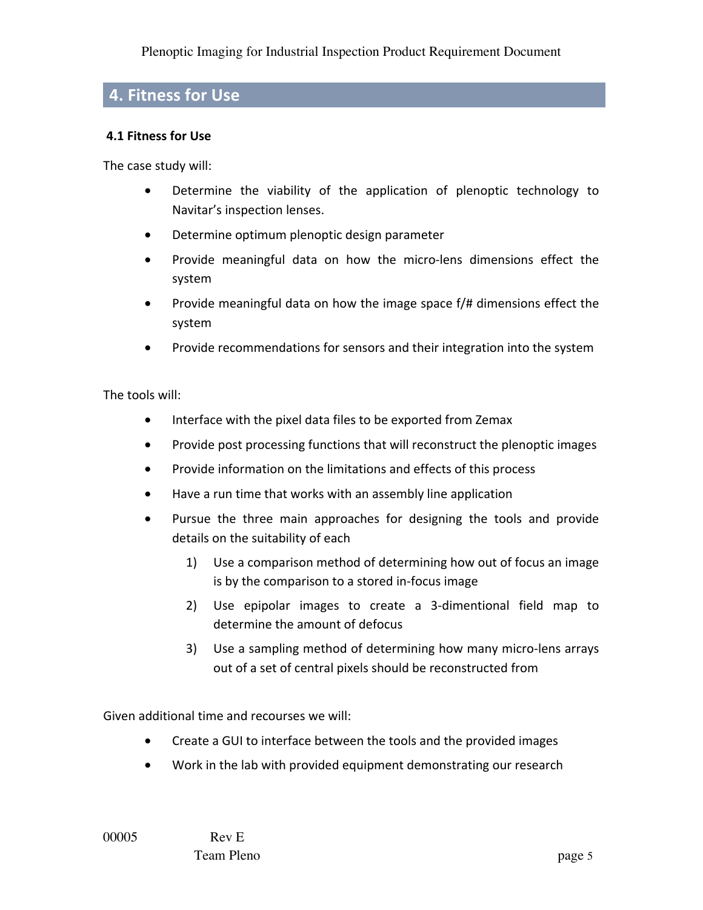## **4. Fitness for Use**

## **4.1 Fitness for Use**

The case study will:

- Determine the viability of the application of plenoptic technology to Navitar's inspection lenses.
- Determine optimum plenoptic design parameter
- Provide meaningful data on how the micro-lens dimensions effect the system
- Provide meaningful data on how the image space f/# dimensions effect the system
- Provide recommendations for sensors and their integration into the system

The tools will:

- Interface with the pixel data files to be exported from Zemax
- Provide post processing functions that will reconstruct the plenoptic images
- Provide information on the limitations and effects of this process
- Have a run time that works with an assembly line application
- Pursue the three main approaches for designing the tools and provide details on the suitability of each
	- 1) Use a comparison method of determining how out of focus an image is by the comparison to a stored in-focus image
	- 2) Use epipolar images to create a 3-dimentional field map to determine the amount of defocus
	- 3) Use a sampling method of determining how many micro-lens arrays out of a set of central pixels should be reconstructed from

Given additional time and recourses we will:

- Create a GUI to interface between the tools and the provided images
- Work in the lab with provided equipment demonstrating our research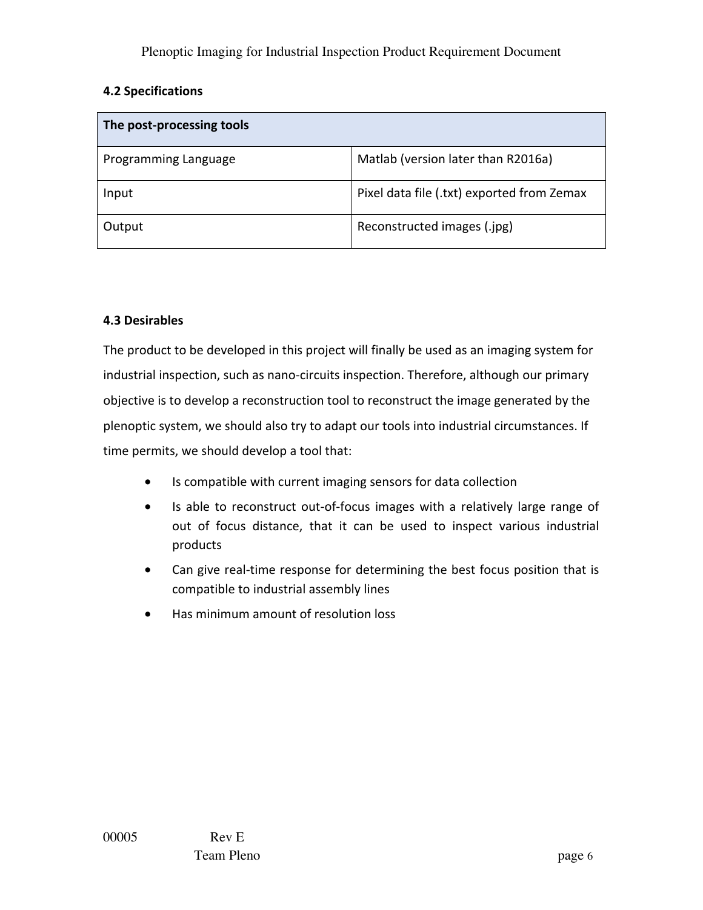## **4.2 Specifications**

| The post-processing tools |                                            |
|---------------------------|--------------------------------------------|
| Programming Language      | Matlab (version later than R2016a)         |
| Input                     | Pixel data file (.txt) exported from Zemax |
| Output                    | Reconstructed images (.jpg)                |

### **4.3 Desirables**

The product to be developed in this project will finally be used as an imaging system for industrial inspection, such as nano-circuits inspection. Therefore, although our primary objective is to develop a reconstruction tool to reconstruct the image generated by the plenoptic system, we should also try to adapt our tools into industrial circumstances. If time permits, we should develop a tool that:

- Is compatible with current imaging sensors for data collection
- Is able to reconstruct out-of-focus images with a relatively large range of out of focus distance, that it can be used to inspect various industrial products
- Can give real-time response for determining the best focus position that is compatible to industrial assembly lines
- Has minimum amount of resolution loss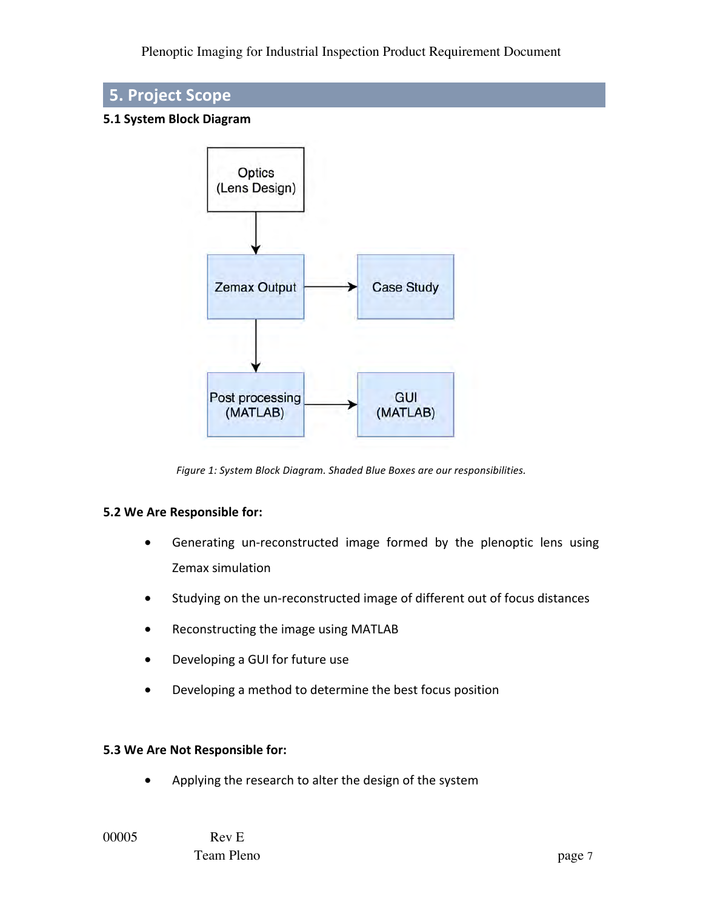# **5. Project Scope**

### **5.1 System Block Diagram**



Figure 1: System Block Diagram. Shaded Blue Boxes are our responsibilities.

### **5.2 We Are Responsible for:**

- Generating un-reconstructed image formed by the plenoptic lens using Zemax simulation
- Studying on the un-reconstructed image of different out of focus distances
- Reconstructing the image using MATLAB
- Developing a GUI for future use
- Developing a method to determine the best focus position

#### **5.3 We Are Not Responsible for:**

Applying the research to alter the design of the system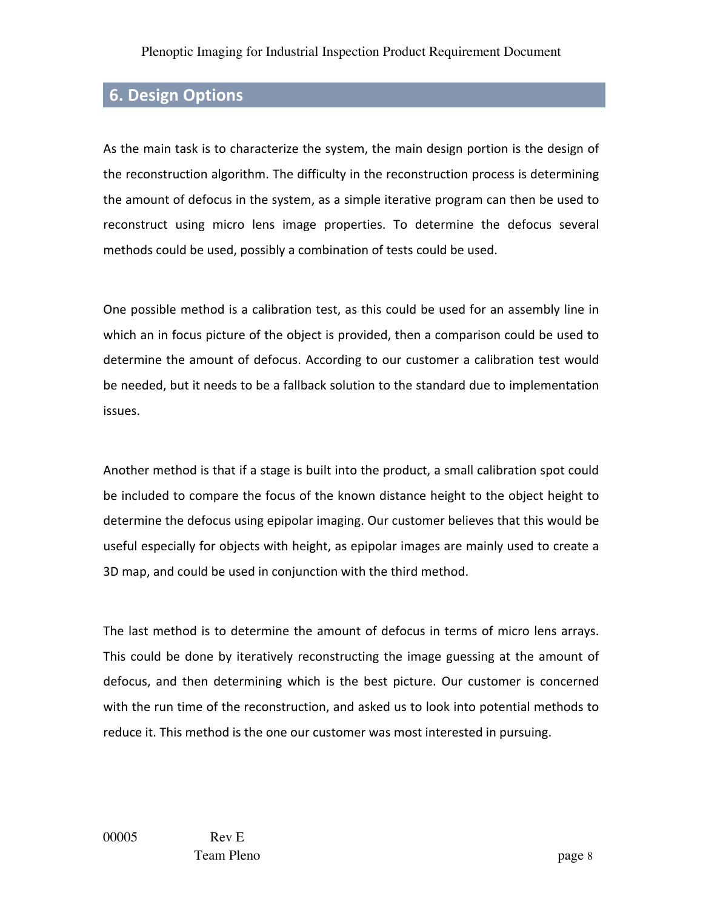# **6. Design Options**

As the main task is to characterize the system, the main design portion is the design of the reconstruction algorithm. The difficulty in the reconstruction process is determining the amount of defocus in the system, as a simple iterative program can then be used to reconstruct using micro lens image properties. To determine the defocus several methods could be used, possibly a combination of tests could be used.

One possible method is a calibration test, as this could be used for an assembly line in which an in focus picture of the object is provided, then a comparison could be used to determine the amount of defocus. According to our customer a calibration test would be needed, but it needs to be a fallback solution to the standard due to implementation issues.

Another method is that if a stage is built into the product, a small calibration spot could be included to compare the focus of the known distance height to the object height to determine the defocus using epipolar imaging. Our customer believes that this would be useful especially for objects with height, as epipolar images are mainly used to create a 3D map, and could be used in conjunction with the third method.

The last method is to determine the amount of defocus in terms of micro lens arrays. This could be done by iteratively reconstructing the image guessing at the amount of defocus, and then determining which is the best picture. Our customer is concerned with the run time of the reconstruction, and asked us to look into potential methods to reduce it. This method is the one our customer was most interested in pursuing.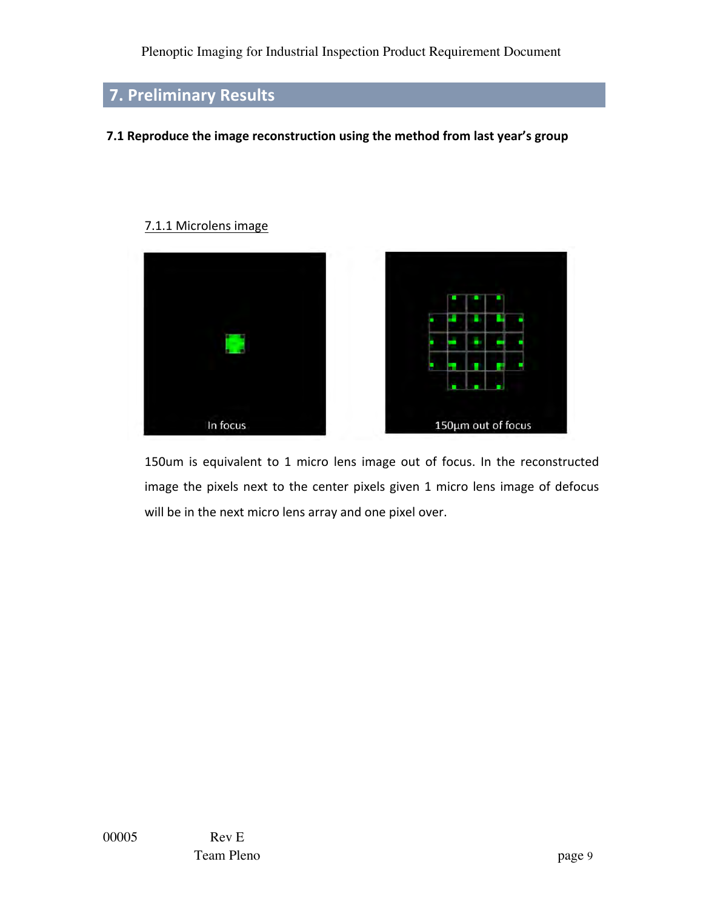# **7. Preliminary Results**

### **7.1 Reproduce the image reconstruction using the method from last year's group**

#### 7.1.1 Microlens image



150um is equivalent to 1 micro lens image out of focus. In the reconstructed image the pixels next to the center pixels given 1 micro lens image of defocus will be in the next micro lens array and one pixel over.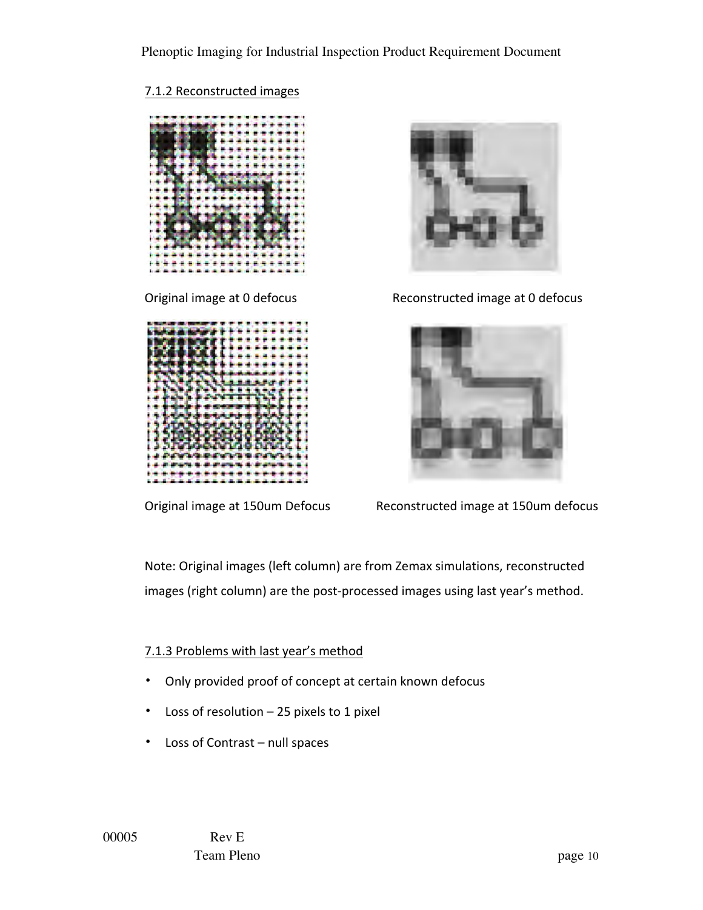## 7.1.2 Reconstructed images







Original image at 0 defocus Reconstructed image at 0 defocus



Original image at 150um Defocus Reconstructed image at 150um defocus

Note: Original images (left column) are from Zemax simulations, reconstructed images (right column) are the post-processed images using last year's method.

## 7.1.3 Problems with last year's method

- Only provided proof of concept at certain known defocus
- Loss of resolution  $-$  25 pixels to 1 pixel
- Loss of Contrast null spaces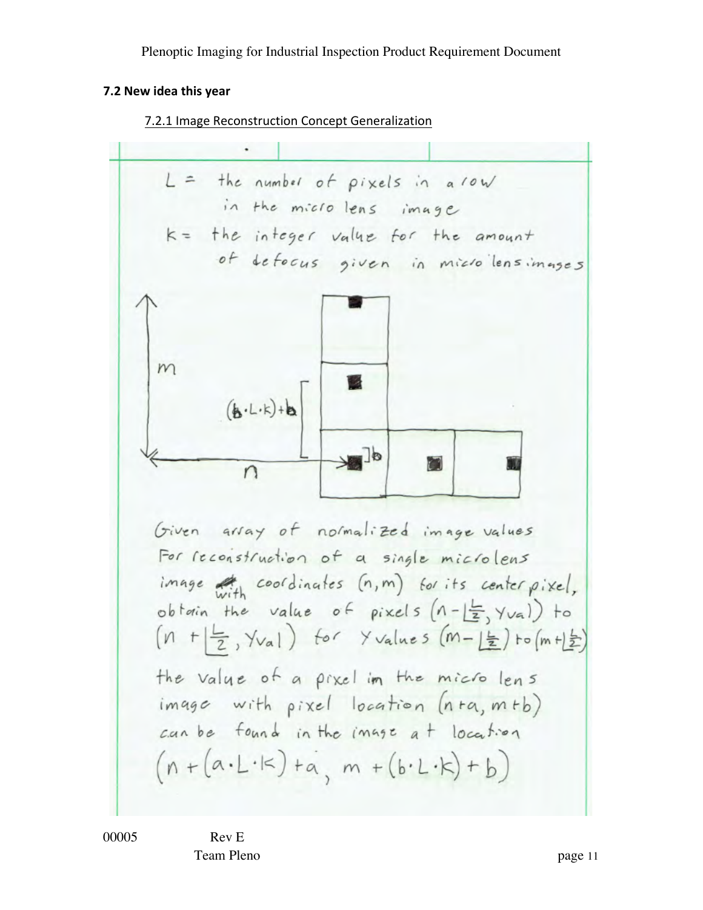# **7.2 New idea this year**

Į.

## 7.2.1 Image Reconstruction Concept Generalization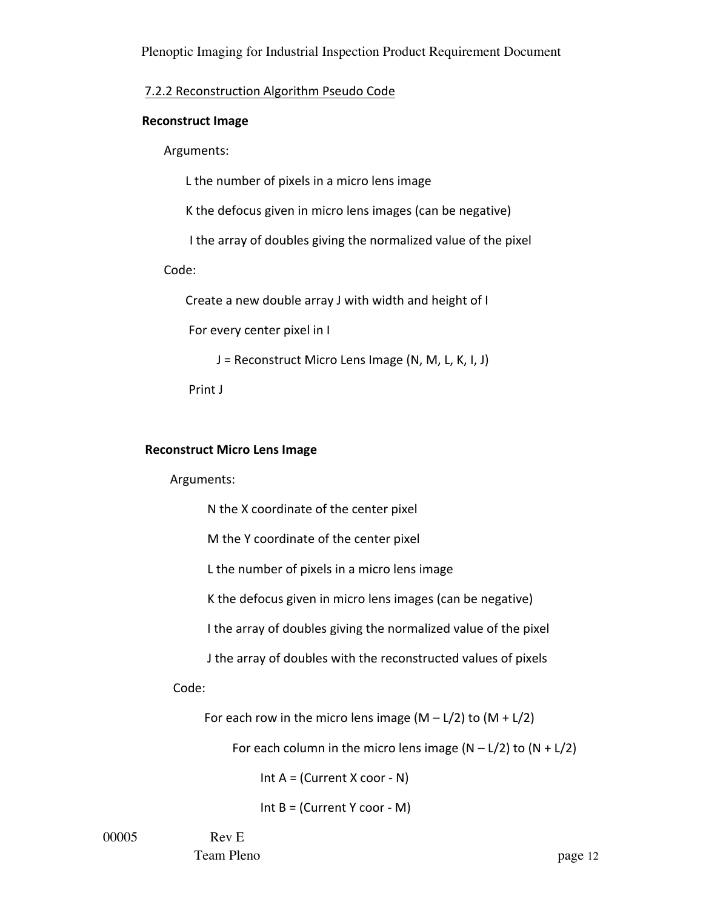#### 7.2.2 Reconstruction Algorithm Pseudo Code

#### **Reconstruct Image**

 Arguments: 

L the number of pixels in a micro lens image

K the defocus given in micro lens images (can be negative)

I the array of doubles giving the normalized value of the pixel

#### Code:

Create a new double array J with width and height of I

For every center pixel in I

 $J =$  Reconstruct Micro Lens Image (N, M, L, K, I, J)

Print J

#### **Reconstruct Micro Lens Image**

#### Arguments:

N the X coordinate of the center pixel

M the Y coordinate of the center pixel

L the number of pixels in a micro lens image

K the defocus given in micro lens images (can be negative)

I the array of doubles giving the normalized value of the pixel

J the array of doubles with the reconstructed values of pixels

#### Code:

For each row in the micro lens image  $(M - L/2)$  to  $(M + L/2)$ 

For each column in the micro lens image  $(N - L/2)$  to  $(N + L/2)$ 

Int  $A = (Current X coord - N)$ 

Int  $B = (Current Y$  coor - M)

00005 Rev E

Team Pleno page 12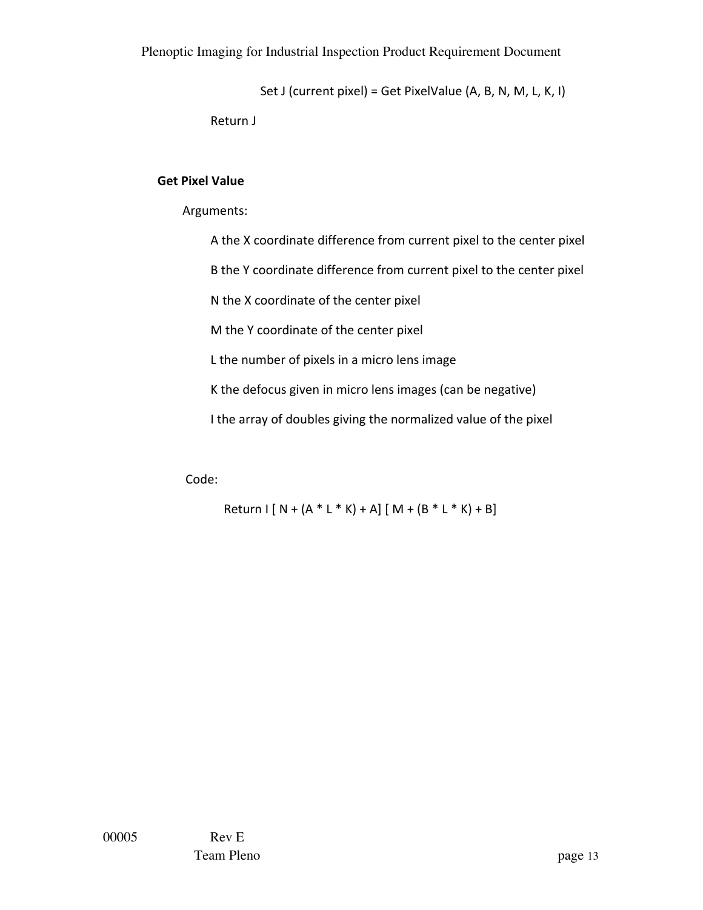Set J (current pixel) = Get PixelValue  $(A, B, N, M, L, K, I)$ 

Return J

#### **Get Pixel Value**

 Arguments:

A the X coordinate difference from current pixel to the center pixel

B the Y coordinate difference from current pixel to the center pixel

N the X coordinate of the center pixel

M the Y coordinate of the center pixel

L the number of pixels in a micro lens image

K the defocus given in micro lens images (can be negative)

I the array of doubles giving the normalized value of the pixel

 Code:

 $Return I [ N + (A * L * K) + A] [ M + (B * L * K) + B]$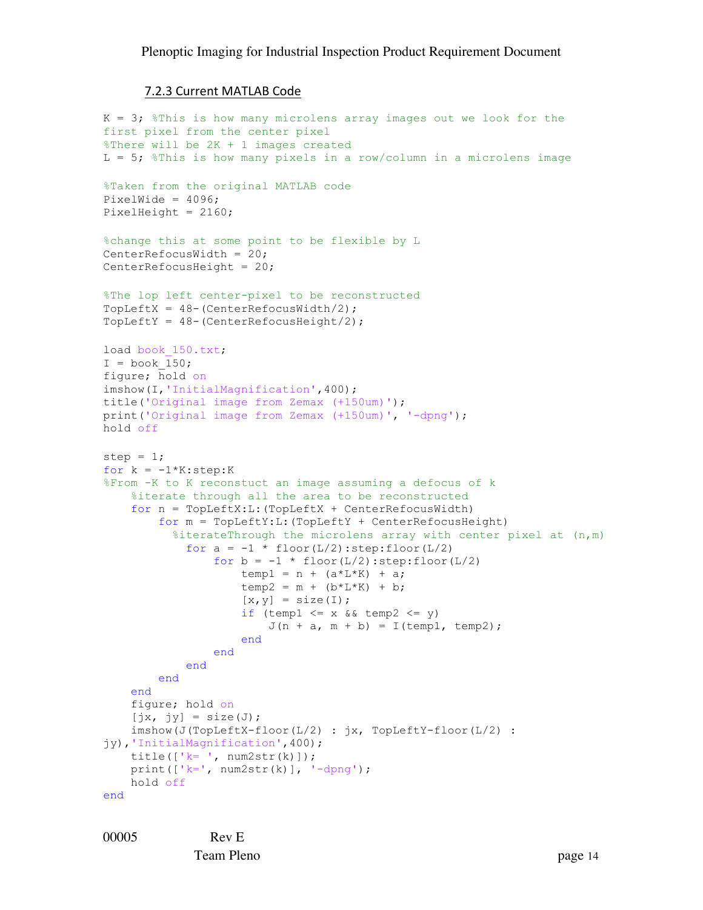#### 7.2.3 Current MATLAB Code

```
K = 3; \text{F} This is how many microlens array images out we look for the
first pixel from the center pixel
%There will be 2K + 1 images created
L = 5; %This is how many pixels in a row/column in a microlens image
%Taken from the original MATLAB code
PixelWide = 4096;PixelHeight = 2160;
%change this at some point to be flexible by L
CenterRefocusWidth = 20;
CenterRefocusHeight = 20;
%The lop left center-pixel to be reconstructed
TopLeftX = 48-(CenterRefocusWidth/2);
TopLeftY = 48-(CenterRefocusHeight/2);
load book 150.txt;
I = book 150;figure; hold on
imshow(I,'InitialMagnification',400);
title('Original image from Zemax (+150um)');
print('Original image from Zemax (+150um)', '-dpng');
hold off
step = 1;for k = -1*K:step:K
%From -K to K reconstuct an image assuming a defocus of k
     %iterate through all the area to be reconstructed
     for n = TopLeftX:L:(TopLeftX + CenterRefocusWidth)
         for m = TopLeftY:L:(TopLeftY + CenterRefocusHeight) 
          %iterateThrough the microlens array with center pixel at (n,m)for a = -1 * floor(L/2): step: floor(L/2)
                 for b = -1 * floor(L/2): step: floor(L/2)
                     temp1 = n + (a * L * K) + a;temp2 = m + (b * L * K) + b;[x, y] = size(I);if (temp1 \leq x && temp2 \leq y)
                         J(n + a, m + b) = I(\text{temp1}, \text{temp2}); end
                 end 
             end
         end
     end
     figure; hold on
    [jx, jy] = size(J); imshow(J(TopLeftX-floor(L/2) : jx, TopLeftY-floor(L/2) : 
jy),'InitialMagnification',400);
     title(['k= ', num2str(k)]);
    print(['k=', num2str(k)], '-dpng'); hold off
end
```
00005 Rev E Team Pleno page 14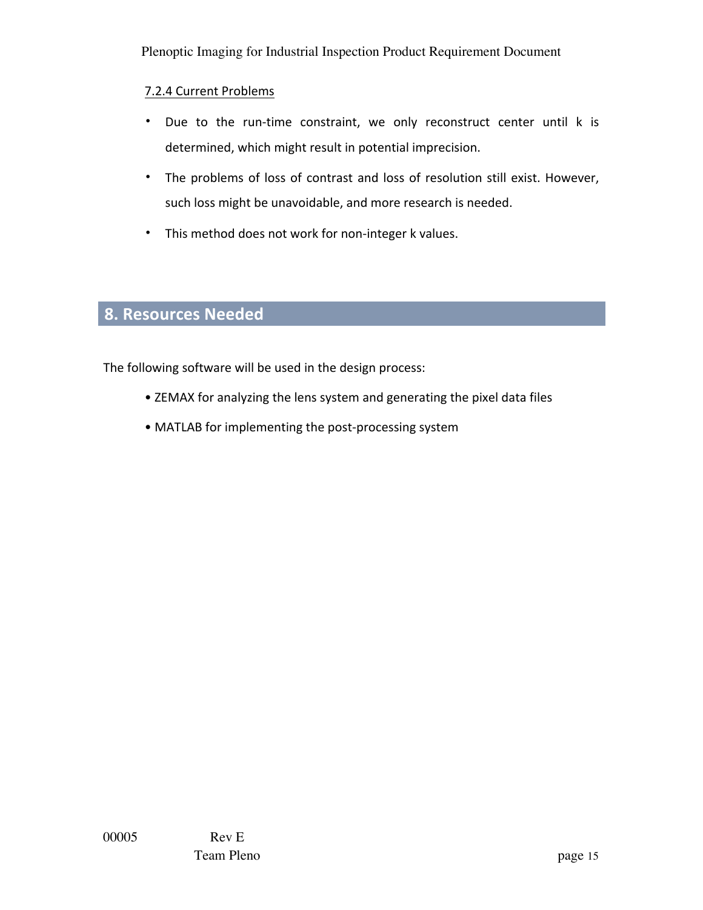## 7.2.4 Current Problems

- Due to the run-time constraint, we only reconstruct center until k is determined, which might result in potential imprecision.
- The problems of loss of contrast and loss of resolution still exist. However, such loss might be unavoidable, and more research is needed.
- This method does not work for non-integer k values.

# **8. Resources Needed**

The following software will be used in the design process:

- ZEMAX for analyzing the lens system and generating the pixel data files
- MATLAB for implementing the post-processing system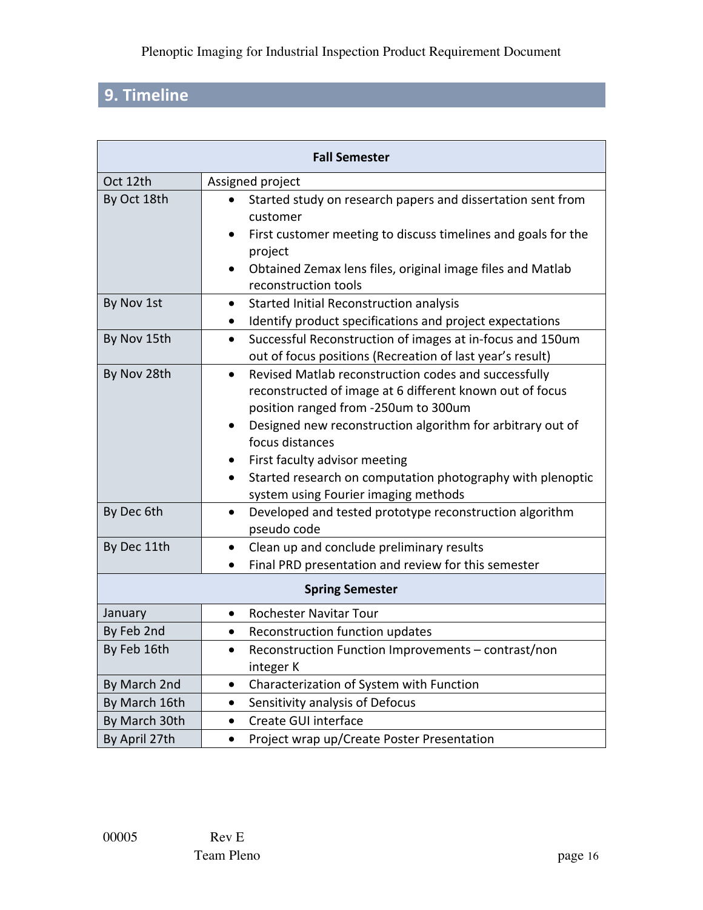# **9. Timeline**

| <b>Fall Semester</b>   |                                                                                                                                                                                                                                                                                                                                                                                                    |  |  |  |
|------------------------|----------------------------------------------------------------------------------------------------------------------------------------------------------------------------------------------------------------------------------------------------------------------------------------------------------------------------------------------------------------------------------------------------|--|--|--|
| Oct 12th               | Assigned project                                                                                                                                                                                                                                                                                                                                                                                   |  |  |  |
| By Oct 18th            | Started study on research papers and dissertation sent from<br>customer<br>First customer meeting to discuss timelines and goals for the<br>project<br>Obtained Zemax lens files, original image files and Matlab                                                                                                                                                                                  |  |  |  |
|                        | reconstruction tools                                                                                                                                                                                                                                                                                                                                                                               |  |  |  |
| By Nov 1st             | Started Initial Reconstruction analysis<br>Identify product specifications and project expectations<br>٠                                                                                                                                                                                                                                                                                           |  |  |  |
| By Nov 15th            | Successful Reconstruction of images at in-focus and 150um<br>$\bullet$<br>out of focus positions (Recreation of last year's result)                                                                                                                                                                                                                                                                |  |  |  |
| By Nov 28th            | Revised Matlab reconstruction codes and successfully<br>$\bullet$<br>reconstructed of image at 6 different known out of focus<br>position ranged from -250um to 300um<br>Designed new reconstruction algorithm for arbitrary out of<br>focus distances<br>First faculty advisor meeting<br>Started research on computation photography with plenoptic<br>٠<br>system using Fourier imaging methods |  |  |  |
| By Dec 6th             | Developed and tested prototype reconstruction algorithm<br>$\bullet$<br>pseudo code                                                                                                                                                                                                                                                                                                                |  |  |  |
| By Dec 11th            | Clean up and conclude preliminary results<br>$\bullet$<br>Final PRD presentation and review for this semester                                                                                                                                                                                                                                                                                      |  |  |  |
| <b>Spring Semester</b> |                                                                                                                                                                                                                                                                                                                                                                                                    |  |  |  |
| January                | <b>Rochester Navitar Tour</b><br>$\bullet$                                                                                                                                                                                                                                                                                                                                                         |  |  |  |
| By Feb 2nd             | Reconstruction function updates                                                                                                                                                                                                                                                                                                                                                                    |  |  |  |
| By Feb 16th            | Reconstruction Function Improvements - contrast/non<br>integer K                                                                                                                                                                                                                                                                                                                                   |  |  |  |
| By March 2nd           | Characterization of System with Function<br>$\bullet$                                                                                                                                                                                                                                                                                                                                              |  |  |  |
| By March 16th          | Sensitivity analysis of Defocus<br>$\bullet$                                                                                                                                                                                                                                                                                                                                                       |  |  |  |
| By March 30th          | Create GUI interface<br>$\bullet$                                                                                                                                                                                                                                                                                                                                                                  |  |  |  |
| By April 27th          | Project wrap up/Create Poster Presentation<br>$\bullet$                                                                                                                                                                                                                                                                                                                                            |  |  |  |